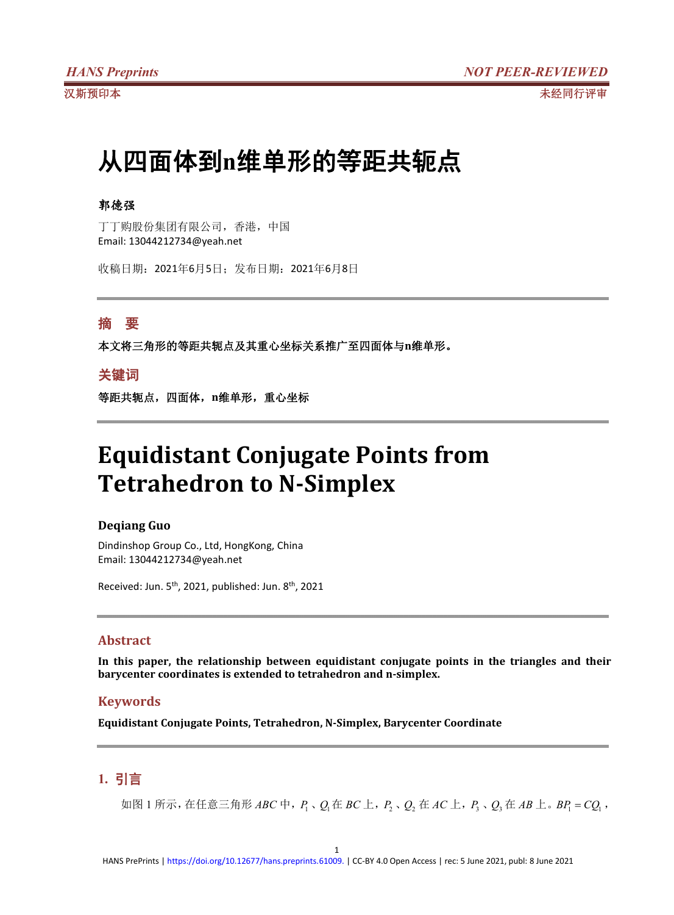# 从四面体到**n**维单形的等距共轭点

# 郭德强

丁丁购股份集团有限公司,香港,中国 Email: 13044212734@yeah.net

收稿日期:2021年6月5日;发布日期:2021年6月8日

# 摘 要

本文将三角形的等距共轭点及其重心坐标关系推广至四面体与**n**维单形。

# 关键词

等距共轭点,四面体,**n**维单形,重心坐标

# **Equidistant Conjugate Points from Tetrahedron to N-Simplex**

## **Deqiang Guo**

Dindinshop Group Co., Ltd, HongKong, China Email: 13044212734@yeah.net

Received: Jun. 5<sup>th</sup>, 2021, published: Jun. 8<sup>th</sup>, 2021

### **Abstract**

**In this paper, the relationship between equidistant conjugate points in the triangles and their barycenter coordinates is extended to tetrahedron and n-simplex.**

## **Keywords**

**Equidistant Conjugate Points, Tetrahedron, N-Simplex, Barycenter Coordinate**

# **1.** 引言

如图 1 所示,在任意三角形 *ABC* 中,*P*<sup>1</sup> 、*Q*1在 *BC* 上,*P*<sup>2</sup> 、*Q*<sup>2</sup> 在 *AC* 上,*P*<sup>3</sup> 、*Q*<sup>3</sup> 在 *AB* 上。*BP*<sup>1</sup> *CQ*<sup>1</sup> ,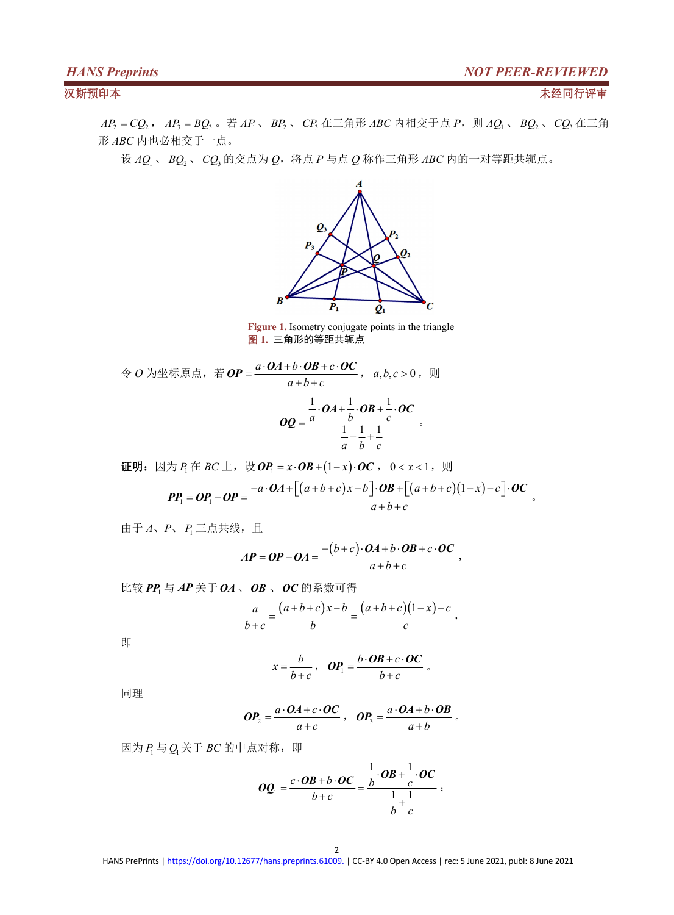*AP*<sup>2</sup> *CQ*<sup>2</sup> , *AP*<sup>3</sup> *BQ*<sup>3</sup> 。若 *AP*1、 *BP*<sup>2</sup> 、 *CP*<sup>3</sup> 在三角形 *ABC* 内相交于点 *P*,则 *AQ*<sup>1</sup> 、 *BQ*<sup>2</sup> 、 *CQ*<sup>3</sup> 在三角 形 *ABC* 内也必相交于一点。

设 *AQ*<sup>1</sup> 、 *BQ*<sup>2</sup> 、 *CQ*<sup>3</sup> 的交点为 *Q*,将点 *P* 与点 *Q* 称作三角形 *ABC* 内的一对等距共轭点。



**Figure 1.** Isometry conjugate points in the triangle 图 **1.** 三角形的等距共轭点

令 *O* 为坐标原点,若 *OP* =  $\frac{a \cdot OA + b \cdot OB + c \cdot OC}{a}$  , a,b,c > 0 , 则  $a+b+c$  $=\frac{a\cdot\bm{O}A+b\cdot\bm{OB}+c\cdot\bm{OC}}{a,b,c>0}$ ,  $a,b,c>0$ ,  $\mathbb{R}$  $OP = \frac{a \cdot OA + b \cdot OB + c \cdot OC}{a + b + c}$ ,  $a, b, c > 0$ ,  $\Box$  $1 \alpha_1$ ,  $1 \alpha_2$ ,  $1 \alpha_3$  $1 \t1 \t1$ *a b c a b c*  $\cdot OA + \frac{1}{2} \cdot OB + \frac{1}{2} \cdot OC$  $=\frac{a b c}{1}$  $+\frac{1}{2}+\frac{1}{2}$  $OA + \frac{1}{2} \cdot OB + \frac{1}{2} \cdot OC$  $OQ = \frac{a}{1} \frac{b}{1} \frac{c}{1}$ 

if 
$$
\mathbf{E} \mathbf{B} \mathbf{B} \mathbf{B} \mathbf{C} \mathbf{B} \mathbf{C} \mathbf{C} \mathbf{C}
$$

\nif 
$$
\mathbf{E} \mathbf{B} \mathbf{C} \mathbf{B} \mathbf{C} \mathbf{C} \mathbf{C}
$$

\nif 
$$
\mathbf{E} \mathbf{B} \mathbf{C} \mathbf{C} \mathbf{C} \mathbf{C} \mathbf{C} \mathbf{C} \mathbf{C} \mathbf{C} \mathbf{C} \mathbf{C} \mathbf{C} \mathbf{C} \mathbf{C} \mathbf{C} \mathbf{C} \mathbf{C} \mathbf{C} \mathbf{C} \mathbf{C} \mathbf{C} \mathbf{C} \mathbf{C} \mathbf{C} \mathbf{C} \mathbf{C} \mathbf{C} \mathbf{C} \mathbf{C} \mathbf{C} \mathbf{C} \mathbf{C} \mathbf{C} \mathbf{C} \mathbf{C} \mathbf{C} \mathbf{C} \mathbf{C} \mathbf{C} \mathbf{C} \mathbf{C} \mathbf{C} \mathbf{C} \mathbf{C} \mathbf{C} \mathbf{C} \mathbf{C} \mathbf{C} \mathbf{C} \mathbf{C} \mathbf{C} \mathbf{C} \mathbf{C} \mathbf{C} \mathbf{C} \mathbf{C} \mathbf{C} \mathbf{C} \mathbf{C} \mathbf{C} \mathbf{C} \mathbf{C} \mathbf{C} \mathbf{C} \mathbf{C} \mathbf{C} \mathbf{C} \mathbf{C} \mathbf{C} \mathbf{C} \mathbf{C} \mathbf{C} \mathbf{C} \mathbf{C} \mathbf{C} \mathbf{C} \mathbf{C} \mathbf{C} \mathbf{C} \mathbf{C} \mathbf{C} \mathbf{C} \mathbf{C} \mathbf{C} \mathbf{C} \mathbf{C} \mathbf{C} \mathbf{C} \mathbf{C} \mathbf{C} \mathbf{C} \mathbf{C} \mathbf{C} \mathbf{C} \mathbf{C} \mathbf{C} \mathbf{C} \mathbf{C} \mathbf{C} \mathbf{C} \mathbf{C} \mathbf{C} \mathbf{C} \mathbf{C} \mathbf{C
$$

由于  $A$ 、 *P、 P*<sub>1</sub> 三点共线, 且

$$
AP = OP - OA = \frac{-(b+c) \cdot OA + b \cdot OB + c \cdot OC}{a+b+c},
$$

比较 *PP*<sup>1</sup> 与 *AP* 关于 *OA* 、*OB* 、*OC* 的系数可得

$$
\frac{a}{b+c} = \frac{(a+b+c)x-b}{b} = \frac{(a+b+c)(1-x)-c}{c},
$$

即 医阿尔伯氏试验检尿道 医心脏性 医心脏性 医心脏性 医心脏性 医心脏性 医心脏性

$$
x = \frac{b}{b+c}, \quad \boldsymbol{OP}_1 = \frac{b \cdot \boldsymbol{OB} + c \cdot \boldsymbol{OC}}{b+c}.
$$

同理 しょうしょう しゅうしょう しんしゅう しんしゅう

$$
OP_2 = \frac{a \cdot OA + c \cdot OC}{a + c} , OP_3 = \frac{a \cdot OA + b \cdot OB}{a + b}.
$$

因为 $P_1 = Q_1 \times F$  *BC* 的中点对称, 即

$$
OQ_1 = \frac{c \cdot OB + b \cdot OC}{b + c} = \frac{\frac{1}{b} \cdot OB + \frac{1}{c} \cdot OC}{\frac{1}{b} + \frac{1}{c}};
$$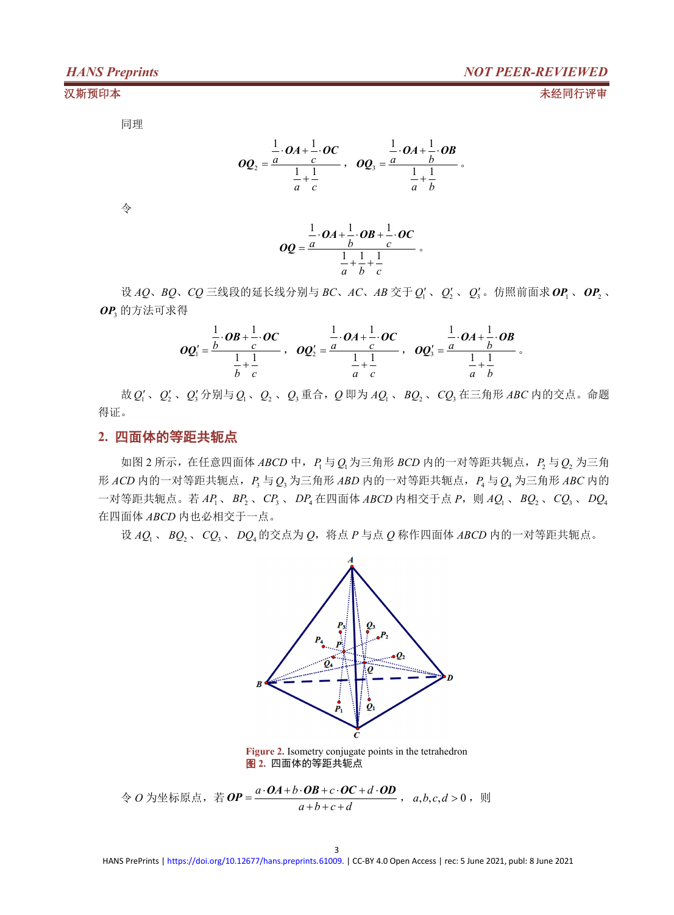同理 しょうしょう しゅうしょう しゅうしょく

$$
OQ_2 = \frac{\frac{1}{a} \cdot OA + \frac{1}{c} \cdot OC}{\frac{1}{a} + \frac{1}{c}}, \quad OQ_3 = \frac{\frac{1}{a} \cdot OA + \frac{1}{b} \cdot OB}{\frac{1}{a} + \frac{1}{b}}.
$$

タイム しょうしょう かんしょう しんしょう かいしん かいしん かいしょう

$$
OQ = \frac{\frac{1}{a} \cdot OA + \frac{1}{b} \cdot OB + \frac{1}{c} \cdot OC}{\frac{1}{a} + \frac{1}{b} + \frac{1}{c}}.
$$

设 *AQ*、*BQ*、*CQ* 三线段的延长线分别与 *BC*、*AC*、*AB* 交于*Q*<sup>1</sup> 、 *Q*<sup>2</sup> 、 *Q*<sup>3</sup> 。仿照前面求 *OP*<sup>1</sup> 、*OP*<sup>2</sup> 、 *OP*<sup>3</sup> 的方法可求得

$$
OQ_1'=\frac{\frac{1}{b}\cdot OB+\frac{1}{c}\cdot OC}{\frac{1}{b}+\frac{1}{c}}, OQ_2'=\frac{\frac{1}{a}\cdot OA+\frac{1}{c}\cdot OC}{\frac{1}{a}+\frac{1}{c}}, OQ_3'=\frac{\frac{1}{a}\cdot OA+\frac{1}{b}\cdot OB}{\frac{1}{a}+\frac{1}{b}}.
$$

故 *Q*<sup>1</sup> 、*Q*<sup>2</sup> 、*Q*<sup>3</sup> 分别与*Q*1、*Q*<sup>2</sup> 、*Q*<sup>3</sup> 重合,*Q* 即为 *AQ*<sup>1</sup> 、 *BQ*<sup>2</sup> 、*CQ*<sup>3</sup> 在三角形 *ABC* 内的交点。命题 得证。

## **2.** 四面体的等距共轭点

如图 2 所示,在任意四面体 *ABCD* 中,*P*<sup>1</sup> 与*Q*1为三角形 *BCD* 内的一对等距共轭点,*P*<sup>2</sup> 与*Q*<sup>2</sup> 为三角  $E$  *ACD* 内的一对等距共轭点,  $P_3 = Q_3$  为三角形 *ABD* 内的一对等距共轭点,  $P_4 = Q_4$  为三角形 *ABC* 内的 一对等距共轭点。若 *AP*1、 *BP*<sup>2</sup> 、*CP*<sup>3</sup> 、 *DP*<sup>4</sup> 在四面体 *ABCD* 内相交于点 *P*,则 *AQ*<sup>1</sup> 、 *BQ*<sup>2</sup> 、*CQ*<sup>3</sup> 、 *DQ*<sup>4</sup> 在四面体 *ABCD* 内也必相交于一点。

设 *AQ*<sup>1</sup> 、 *BQ*<sup>2</sup> 、 *CQ*<sup>3</sup> 、 *DQ*<sup>4</sup> 的交点为 *Q*,将点 *P* 与点 *Q* 称作四面体 *ABCD* 内的一对等距共轭点。



**Figure 2.** Isometry conjugate points in the tetrahedron 图 **2.** 四面体的等距共轭点

令 *O* 为坐标原点,若 *OP* = <sup>a ⋅ OA + b ⋅ OB + c ⋅ OC + d ⋅ OD</del> , a, b, c, d > 0 , 则</sup> *a b c d*  $=\frac{a\cdot\bm{O}A+b\cdot\bm{OB}+c\cdot\bm{OC}+d\cdot\bm{OD}}{a,b,c,d>0}$ ,  $\varnothing$  $+b+c+d$  ,  $a, b, c, d, c, d$  $OP = \frac{a \cdot OA + b \cdot OB + c \cdot OC + d \cdot OD}{a, b, c, d > 0}$ ,  $M$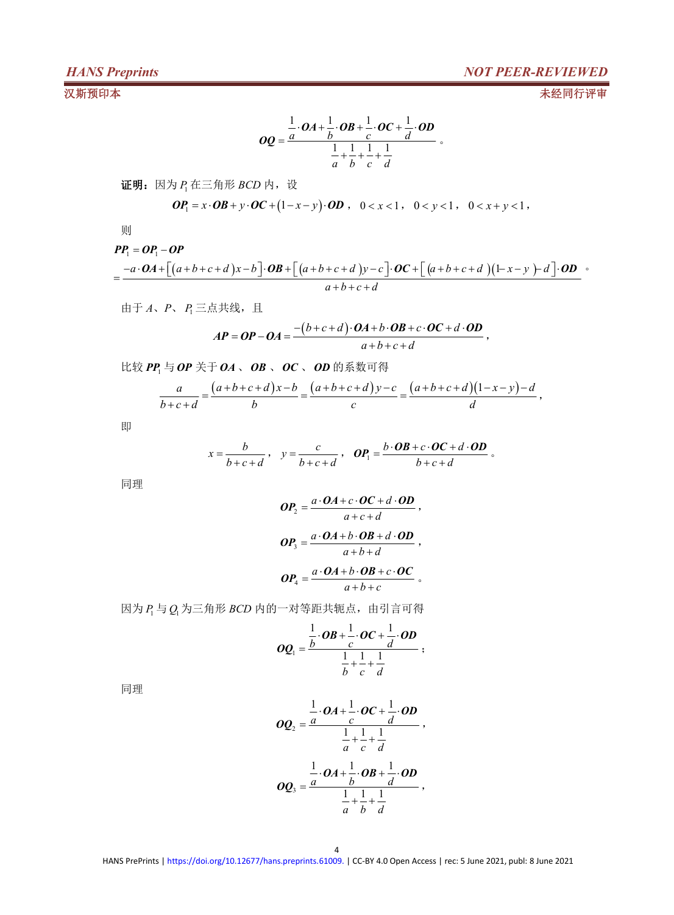$$
OQ = \frac{\frac{1}{a} \cdot OA + \frac{1}{b} \cdot OB + \frac{1}{c} \cdot OC + \frac{1}{d} \cdot OD}{\frac{1}{a} + \frac{1}{b} + \frac{1}{c} + \frac{1}{d}}.
$$

证明: 因为  $P_1$  在三角形  $BCD$  内, 设

$$
\boldsymbol{OP}_1 = x \cdot \boldsymbol{OB} + y \cdot \boldsymbol{OC} + (1-x-y) \cdot \boldsymbol{OD} \ , \quad 0 < x < 1 \ , \quad 0 < y < 1 \ , \quad 0 < x + y < 1 \ ,
$$

则

### $PP_1 = OP_1 - OP$

$$
PP_{1} = OP_{1} - OP
$$
  
= 
$$
\frac{-a \cdot OA + [(a+b+c+d)x-b] \cdot OB + [(a+b+c+d)y-c] \cdot OC + [(a+b+c+d)(1-x-y) - d] \cdot OD}{a+b+c+d}
$$

由于  $A$ 、  $P$ 、  $P_1$ 三点共线, 且

$$
AP = OP - OA = \frac{-(b+c+d) \cdot OA + b \cdot OB + c \cdot OC + d \cdot OD}{a+b+c+d},
$$

比较 *PP*<sup>1</sup> 与*OP* 关于 *OA* 、*OB* 、*OC* 、 *OD* 的系数可得

$$
\frac{a}{b+c+d} = \frac{(a+b+c+d)x-b}{b} = \frac{(a+b+c+d)y-c}{c} = \frac{(a+b+c+d)(1-x-y)-d}{d},
$$

即 医阿尔伯氏试验检尿道 医心脏性 医心脏性 医心脏性 医心脏性 医心脏性 医心脏性

$$
x = \frac{b}{b+c+d}, \quad y = \frac{c}{b+c+d}, \quad \boldsymbol{OP}_1 = \frac{b \cdot \boldsymbol{OB} + c \cdot \boldsymbol{OC} + d \cdot \boldsymbol{OD}}{b+c+d}.
$$

同理 しょうしょう しゅうしょう しんしゅう しんしゅう

$$
OP_2 = \frac{a \cdot OA + c \cdot OC + d \cdot OD}{a + c + d},
$$
  
\n
$$
OP_3 = \frac{a \cdot OA + b \cdot OB + d \cdot OD}{a + b + d},
$$
  
\n
$$
OP_4 = \frac{a \cdot OA + b \cdot OB + c \cdot OC}{a + b + c}.
$$

 $\Delta B_1 = Q_1$ 为三角形 *BCD* 内的一对等距共轭点, 由引言可得

$$
OQ_1=\frac{\frac{1}{b}\cdot OB+\frac{1}{c}\cdot OC+\frac{1}{d}\cdot OD}{\frac{1}{b}+\frac{1}{c}+\frac{1}{d}};
$$

同理 しょうしょう しゅうしょう しんしゅう しんしゅう

$$
OQ_2 = \frac{\frac{1}{a} \cdot OA + \frac{1}{c} \cdot OC + \frac{1}{d} \cdot OD}{\frac{1}{a} + \frac{1}{c} + \frac{1}{d}}},
$$
  

$$
OQ_3 = \frac{\frac{1}{a} \cdot OA + \frac{1}{b} \cdot OB + \frac{1}{d} \cdot OD}{\frac{1}{a} + \frac{1}{b} + \frac{1}{d}},
$$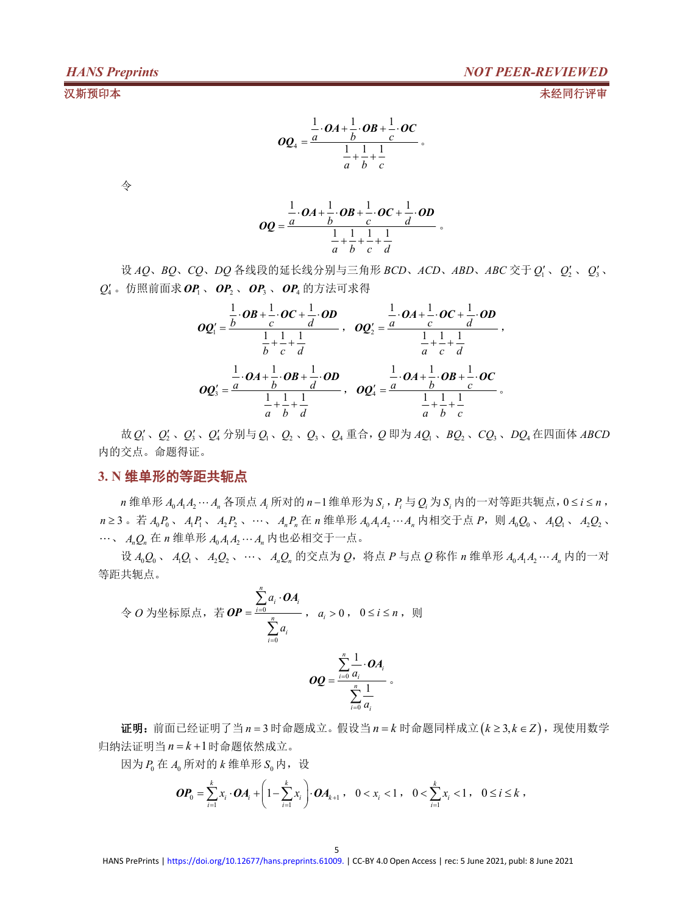$$
OQ_4 = \frac{\frac{1}{a} \cdot OA + \frac{1}{b} \cdot OB + \frac{1}{c} \cdot OC}{\frac{1}{a} + \frac{1}{b} + \frac{1}{c}}.
$$

タイム しょうしょう かんしょう しんしょう かいしん かいしん かいしょう

$$
OQ = \frac{\frac{1}{a} \cdot OA + \frac{1}{b} \cdot OB + \frac{1}{c} \cdot OC + \frac{1}{d} \cdot OD}{\frac{1}{a} + \frac{1}{b} + \frac{1}{c} + \frac{1}{d}}.
$$

设 *AQ*、*BQ*、*CQ*、*DQ* 各线段的延长线分别与三角形 *BCD*、*ACD*、*ABD*、*ABC* 交于 *Q*<sup>1</sup> 、*Q*<sup>2</sup> 、 *Q*<sup>3</sup>  $\frac{1}{3}$  $Q'_4$  。仿照前面求  $\bm{OP}_1$  、  $\bm{OP}_2$  、  $\bm{OP}_3$  、  $\bm{OP}_4$  的方法可求得

$$
OQ_1' = \frac{\frac{1}{b} \cdot OB + \frac{1}{c} \cdot OC + \frac{1}{d} \cdot OD}{\frac{1}{b} + \frac{1}{c} + \frac{1}{d}} , OQ_2' = \frac{\frac{1}{a} \cdot OA + \frac{1}{c} \cdot OC + \frac{1}{d} \cdot OD}{\frac{1}{a} + \frac{1}{c} + \frac{1}{d}} ,
$$
  

$$
OQ_3' = \frac{\frac{1}{a} \cdot OA + \frac{1}{b} \cdot OB + \frac{1}{d} \cdot OD}{\frac{1}{a} + \frac{1}{b} + \frac{1}{d}} , OQ_4' = \frac{\frac{1}{a} \cdot OA + \frac{1}{b} \cdot OB + \frac{1}{c} \cdot OC}{\frac{1}{a} + \frac{1}{b} + \frac{1}{c}}.
$$

故 *Q*<sup>1</sup> 、*Q*<sup>2</sup> 、*Q*<sup>3</sup> 、*Q*<sup>4</sup> 分别与*Q*1、*Q*<sup>2</sup> 、*Q*<sup>3</sup> 、*Q*<sup>4</sup> 重合,*Q* 即为 *AQ*<sup>1</sup> 、*BQ*<sup>2</sup> 、*CQ*<sup>3</sup> 、*DQ*<sup>4</sup> 在四面体 *ABCD* 内的交点。命题得证。

## **3. N** 维单形的等距共轭点

 $n$  维单形  $A_0 A_1 A_2 \cdots A_n$  各顶点  $A_i$  所对的  $n-1$  维单形为  $S_i$ ,  $P_i$  与  $Q_i$  为  $S_i$  内的一对等距共轭点,0≤  $i$  ≤  $n$ ,  $n \geq 3$ .  $\ddot{\mathcal{A}}$   $A_0 P_0$ ,  $A_1 P_1$ ,  $A_2 P_2$ ,  $\cdots$ ,  $A_n P_n \ddot{\mathcal{A}}$   $n \notin \mathbb{R}$   $\ddot{\mathcal{A}}_0 A_1 A_2 \cdots A_n$   $n \notin \mathbb{R}$   $\ddot{\mathcal{A}}$   $\ddot{\mathcal{A}}$   $n \notin \mathbb{R}$   $P$ ,  $n \in \mathbb{N}$   $A_0 Q_0$ ,  $A_1 Q_1$ ,  $A_2 Q_2$ , 、 *AnQ<sup>n</sup>* 在 *n* 维单形 *A*<sup>0</sup> *A*1*A*2 *A<sup>n</sup>* 内也必相交于一点。

设 *A*0*Q*<sup>0</sup> 、 *A*1*Q*<sup>1</sup> 、 *A*2*Q*<sup>2</sup> 、、 *AnQ<sup>n</sup>* 的交点为 *Q*,将点 *P* 与点 *Q* 称作 *n* 维单形 *A*<sup>0</sup> *A*1*A*2 *A<sup>n</sup>* 内的一对 等距共轭点。

$$
\begin{aligned}\n&\Leftrightarrow O \text{ } \frac{\sum_{i=0}^{n} a_i \cdot \mathbf{OA}_i}{\sum_{i=0}^{n} a_i}, \quad a_i > 0 \text{ , } \quad 0 \leq i \leq n \text{ , } \quad \text{[1]} \\
&\sum_{i=0}^{n} a_i \\
&\sum_{i=0}^{n} \frac{1}{a_i} \cdot \mathbf{OA}_i \\
&\sum_{i=0}^{n} \frac{1}{a_i} \cdot \mathbf{OA}_i\n\end{aligned}
$$

 $E$  证明: 前面已经证明了当  $n = 3$  时命题成立。假设当  $n = k$  时命题同样成立( $k ≥ 3, k ∈ Z$ ), 现使用数学 归纳法证明当  $n = k + 1$ 时命题依然成立。

因为  $P_0$  在  $A_0$  所对的  $k$  维单形  $S_0$  内, 设

$$
\boldsymbol{OP}_0 = \sum_{i=1}^k x_i \cdot \boldsymbol{OA}_i + \left(1 - \sum_{i=1}^k x_i\right) \cdot \boldsymbol{OA}_{k+1}, \quad 0 < x_i < 1 \,, \quad 0 < \sum_{i=1}^k x_i < 1 \,, \quad 0 \leq i \leq k \,,
$$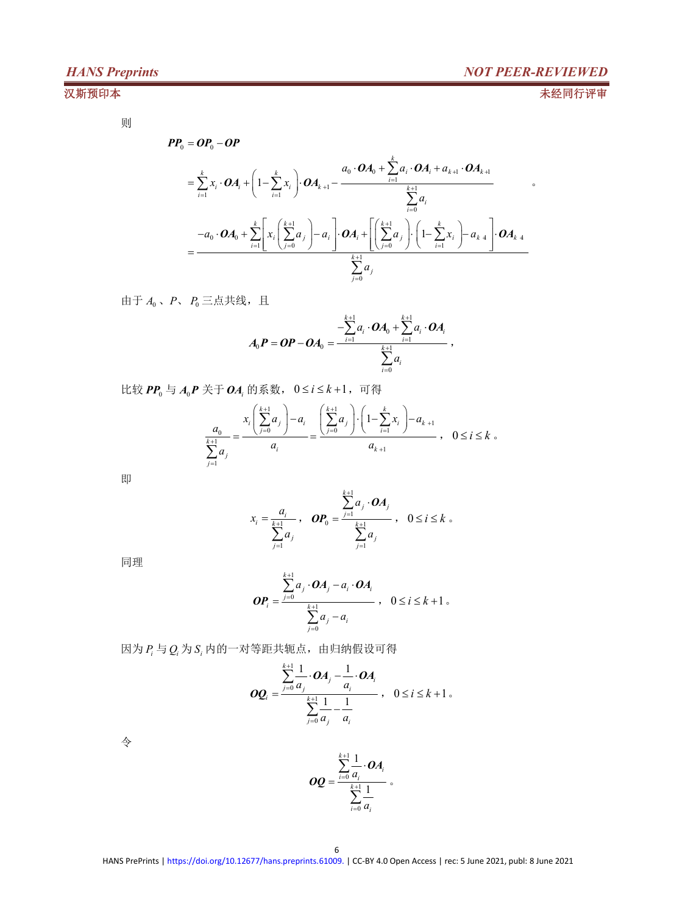$\bullet$ 

则

$$
PP_{0} = OP_{0} - OP
$$
\n
$$
= \sum_{i=1}^{k} x_{i} \cdot OA_{i} + \left(1 - \sum_{i=1}^{k} x_{i}\right) \cdot OA_{k+1} - \frac{a_{0} \cdot OA_{0} + \sum_{i=1}^{k} a_{i} \cdot OA_{i} + a_{k+1} \cdot OA_{k+1}}{\sum_{i=0}^{k+1} a_{i}}
$$
\n
$$
= \frac{-a_{0} \cdot OA_{0} + \sum_{i=1}^{k} \left[x_{i}\left(\sum_{j=0}^{k+1} a_{j}\right) - a_{i}\right] \cdot OA_{i} + \left[\left(\sum_{j=0}^{k+1} a_{j}\right) \cdot \left(1 - \sum_{i=1}^{k} x_{i}\right) - a_{k+1}\right] \cdot OA_{k+1}}{\sum_{j=0}^{k+1} a_{j}}
$$

由于  $A_0$ 、  $P$ 、  $P_0$  三点共线, 且

$$
A_0P=OP-OA_0=\frac{-\sum\limits_{i=1}^{k+1}a_i\cdot OA_0+\sum\limits_{i=1}^{k+1}a_i\cdot OA_i}{\sum\limits_{i=0}^{k+1}a_i},
$$

比较  $PP_0$  与  $A_0$  $P$  关于  $OA_i$  的系数,  $0 \le i \le k+1$ , 可得

$$
\frac{a_0}{\sum_{j=1}^{k+1} a_j} = \frac{x_i \left(\sum_{j=0}^{k+1} a_j\right) - a_i}{a_i} = \frac{\left(\sum_{j=0}^{k+1} a_j\right) \cdot \left(1 - \sum_{i=1}^k x_i\right) - a_{k+1}}{a_{k+1}}, \quad 0 \le i \le k
$$

即 医阿尔伯氏试验检尿道 医心脏性 医心脏性 医心脏性 医心脏性 医心脏性 医心脏性

$$
x_i = \frac{a_i}{\sum_{j=1}^{k+1} a_j}, \quad \mathbf{OP}_0 = \frac{\sum_{j=1}^{k+1} a_j \cdot \mathbf{OA}_j}{\sum_{j=1}^{k+1} a_j}, \quad 0 \le i \le k \quad \text{and} \quad
$$

同理 しょうしょう しゅうしょう しんしゅう しんしゅう

$$
\boldsymbol{OP}_{i} = \frac{\sum_{j=0}^{k+1} a_{j} \cdot \boldsymbol{OA}_{j} - a_{i} \cdot \boldsymbol{OA}_{i}}{\sum_{j=0}^{k+1} a_{j} - a_{i}}, \quad 0 \leq i \leq k+1.
$$

 $\mathbb{E}$ 为  $P_i$  与  $Q_i$  为  $S_i$  内的一对等距共轭点, 由归纳假设可得

$$
\boldsymbol{OQ}_{i} = \frac{\sum_{j=0}^{k+1} \frac{1}{a_{j}} \cdot \boldsymbol{OA}_{j} - \frac{1}{a_{i}} \cdot \boldsymbol{OA}_{i}}{\sum_{j=0}^{k+1} \frac{1}{a_{j}} - \frac{1}{a_{i}}}, \quad 0 \leq i \leq k+1.
$$

タイム しょうしょう かんしょう しんしょう かいしん かいしん かいしょう

$$
OQ = \frac{\sum_{i=0}^{k+1} \frac{1}{a_i} \cdot OA_i}{\sum_{i=0}^{k+1} \frac{1}{a_i}} \cdot
$$